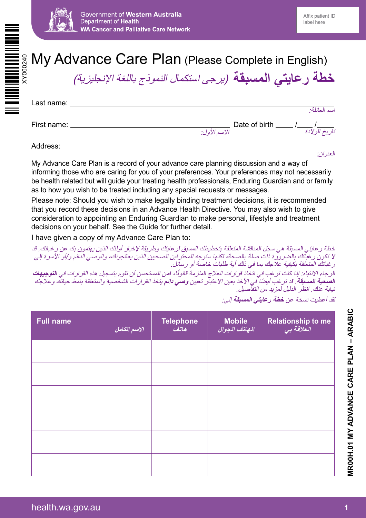

## My Advance Care Plan (Please Complete in English)

<mark>خطة رعايتي المسبقة</mark> (برجى *استكمال النموذج باللغة الإنجليزية)* 

| Last name:  |                               | اسم العائلة:  |
|-------------|-------------------------------|---------------|
| First name: | Date of birth<br>الاسم الأول: | تاريخ الولادة |
|             |                               |               |

Address:

العنوان:

My Advance Care Plan is a record of your advance care planning discussion and a way of informing those who are caring for you of your preferences. Your preferences may not necessarily be health related but will guide your treating health professionals, Enduring Guardian and or family as to how you wish to be treated including any special requests or messages.

Please note: Should you wish to make legally binding treatment decisions, it is recommended that you record these decisions in an Advance Health Directive. You may also wish to give consideration to appointing an Enduring Guardian to make personal, lifestyle and treatment decisions on your behalf. See the Guide for further detail.

I have given a copy of my Advance Care Plan to:

خطة رعايتي المسبقة هي سجل المناقشة المتعلقة بتخطيطك المسبق لرعايتك وطريقة إلخبار أولئك الذين يهتمون بك عن رغباتك. قد ال تكون رغباتك بالضرورة ذات صلة بالصحة، لكنها ستوجه المحترفين الصحيين الذين يعالجونك، والوصي الدائم و/أو األسرة إلى رغباتك المتعلقة بكيفية عالجك بما في ذلك أية طلبات خاصة أو رسائل.

الرجاء الانتباه: إذا كنت ترغب في اتخاذ قرارات العلاج الملزمة قانونًا، فمن المستحسن أن تقوم بتسجيل هذه القرارات في ا**لتوجيهات** ا**لصحية المسبقة**. قد ترغب أيضاً في الأخذ بعين الاعتبار تعيين **وصي دائم** يتخذ القرارات الشخصية والمتعلقة بنمط حياتك وعلاجك نيابة عنك. انظر الدليل لمزيد من التفاصيل.

| <b>Full name</b> | <mark>الاسم الكامل الل</mark> | <b>Telephone</b><br>هاتف | Mobile<br>الهاتف الجوال | Relationship to me<br><i>العلاقة بي</i> |
|------------------|-------------------------------|--------------------------|-------------------------|-----------------------------------------|
|                  |                               |                          |                         |                                         |
|                  |                               |                          |                         |                                         |
|                  |                               |                          |                         |                                         |
|                  |                               |                          |                         |                                         |
|                  |                               |                          |                         |                                         |
|                  |                               |                          |                         |                                         |

لقد أعطيت نسخة عن **خطة رعايتي المسبقة** إلى: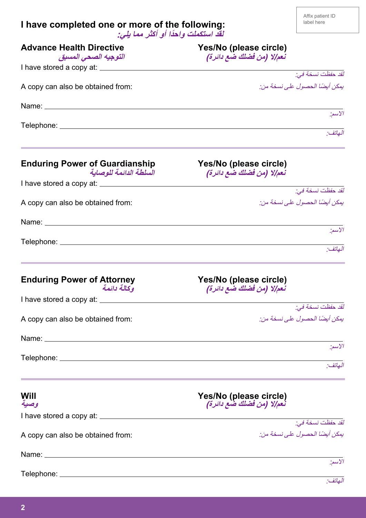## **I have completed one or more of the following: ً لقد استكملت واحدا أو أكثر مما يلي:**

| <b>Advance Health Directive</b>                                                                                                                                                                                               | Yes/No (please circle)                                                                                               |
|-------------------------------------------------------------------------------------------------------------------------------------------------------------------------------------------------------------------------------|----------------------------------------------------------------------------------------------------------------------|
| التوجيه الصحى المسبق                                                                                                                                                                                                          | تعم إلا (من فضلك ضع دائرة)                                                                                           |
| I have stored a copy at: ________                                                                                                                                                                                             | لقد حفظت نسخة في:                                                                                                    |
| A copy can also be obtained from:                                                                                                                                                                                             | يمكن أيضًا الحصول على نسخة من:                                                                                       |
|                                                                                                                                                                                                                               |                                                                                                                      |
| Name: Name: Name: Name: Name: Name: Name: Name: Name: Name: Name: Name: Name: Name: Name: Name: Name: Name: Name: Name: Name: Name: Name: Name: Name: Name: Name: Name: Name: Name: Name: Name: Name: Name: Name: Name: Name: |                                                                                                                      |
|                                                                                                                                                                                                                               | الاسم:                                                                                                               |
|                                                                                                                                                                                                                               | .<br>الهاتف:                                                                                                         |
|                                                                                                                                                                                                                               |                                                                                                                      |
| <b>Enduring Power of Guardianship</b>                                                                                                                                                                                         | Yes/No (please circle)                                                                                               |
| السلطة الدائمة للوصابة                                                                                                                                                                                                        | تعم إلا (من فضلك ضع دائرة)                                                                                           |
|                                                                                                                                                                                                                               |                                                                                                                      |
|                                                                                                                                                                                                                               | لقد حفظت نسخة في:                                                                                                    |
| A copy can also be obtained from:                                                                                                                                                                                             | يمكن أيضًا الحصول على نسخة من:                                                                                       |
|                                                                                                                                                                                                                               |                                                                                                                      |
|                                                                                                                                                                                                                               | الأسم:                                                                                                               |
|                                                                                                                                                                                                                               | العاتف:                                                                                                              |
|                                                                                                                                                                                                                               |                                                                                                                      |
|                                                                                                                                                                                                                               |                                                                                                                      |
| <b>Enduring Power of Attorney</b><br>وكالة دائمة                                                                                                                                                                              | Yes/No (please circle)<br>تعم إلا (من فضلك ضع دائرة)                                                                 |
|                                                                                                                                                                                                                               |                                                                                                                      |
|                                                                                                                                                                                                                               | لقد حفظت نسخة في:                                                                                                    |
| A copy can also be obtained from:                                                                                                                                                                                             | يمكن أيضًا الحصول على نسخة من:                                                                                       |
| Name: Name: Name: Name: Name: Name: Name: Name: Name: Name: Name: Name: Name: Name: Name: Name: Name: Name: Name: Name: Name: Name: Name: Name: Name: Name: Name: Name: Name: Name: Name: Name: Name: Name: Name: Name: Name: |                                                                                                                      |
|                                                                                                                                                                                                                               | الاسم:                                                                                                               |
|                                                                                                                                                                                                                               | ا<br>الهاتف:                                                                                                         |
|                                                                                                                                                                                                                               | <u> 1989 - Jan Barat, marka masjid a shekara ta 1989 - An tsara ta 1989 - An tsara ta 1989 - An tsara ta 1989 - </u> |
| Will                                                                                                                                                                                                                          | Yes/No (please circle)                                                                                               |
| وصية                                                                                                                                                                                                                          | تعم إلا (من فضلك ضع دائرة)                                                                                           |
|                                                                                                                                                                                                                               |                                                                                                                      |
|                                                                                                                                                                                                                               | لقد حفظت نسخة في:                                                                                                    |
| A copy can also be obtained from:                                                                                                                                                                                             | يمكن أيضًا الحصول على نسخة من:                                                                                       |
|                                                                                                                                                                                                                               |                                                                                                                      |
|                                                                                                                                                                                                                               | الاسم:                                                                                                               |
|                                                                                                                                                                                                                               | الهاتف:                                                                                                              |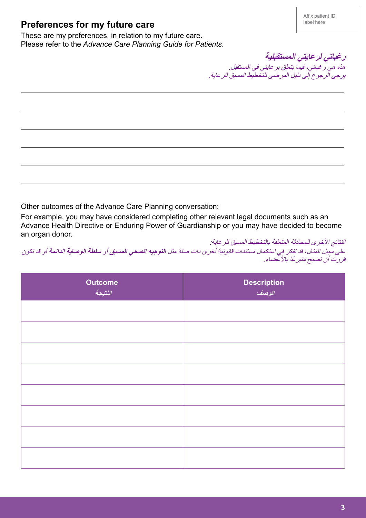## **Preferences for my future care**

These are my preferences, in relation to my future care. Please refer to the *Advance Care Planning Guide for Patients*.

 $\overline{a}$  $\overline{a}$  $\overline{a}$  $\overline{a}$  $\overline{a}$ **رغباتي لرعايتي المستقبلية** هذه هي رغباتي، فيما يتعلق برعايتي في المستقبل. يرجى الرجوع إلى دليل المرضى للتخطيط المسبق للرعاية.

Other outcomes of the Advance Care Planning conversation:

For example, you may have considered completing other relevant legal documents such as an Advance Health Directive or Enduring Power of Guardianship or you may have decided to become an organ donor.

النتائج الأخرى للمحادثة المتعلقة بالتخطيط المسبق للرعاية: على سبيل المثال، قد تفكر في استكمال مستندات قانونية أخرى ذات صلة مثل **التوجيه الصحي المسبق** أو **سلطة الوصاية الدائمة** أو قد تكون قررت أن تصبح متبرعًا بالأعضاء.

| <b>Outcome</b><br>النتيجة | Description<br><i>الوصف</i> |
|---------------------------|-----------------------------|
|                           |                             |
|                           |                             |
|                           |                             |
|                           |                             |
|                           |                             |
|                           |                             |
|                           |                             |
|                           |                             |